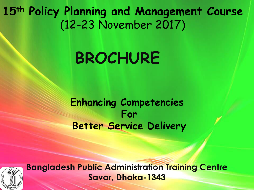**15th Policy Planning and Management Course**  (12-23 November 2017)

# **BROCHURE**

**Enhancing Competencies For Better Service Delivery** 



**Bangladesh Public Administration Training Centre Savar, Dhaka-1343**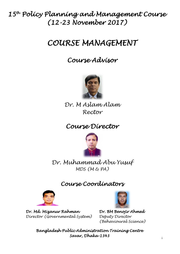# 15th Policy Planning and Management Course (12-23 November 2017)

# COURSE MANAGEMENT

# Course Advisor



Dr. M Aslam Alam Rector

# Course Director



## Dr. Muhammad Abu Yusuf MDS (M & PA)

# Course Coordinators



Dr. Md. Mizanur Rahman Director (Governmental System)



Dr. BM Benojir Ahmed Deputy Director (Behavioural Science)

Bangladesh Public Administration Training Centre Savar, Dhaka-1343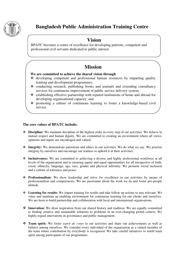

### **Bangladesh Public Administration Training Centre**

### **Vision**

BPATC becomes a centre of excellence for developing patriotic, competent and professional civil servants dedicated to public interest

### **Mission**

#### **We are committed to achieve the shared vision through**

- $\triangleleft$  developing competent and professional human resources by imparting quality training and development programmes;
- \* conducting research, publishing books and journals and extending consultancy services for continuous improvement of public service delivery system;
- $\triangle$  establishing effective partnership with reputed institutions of home and abroad for developing organisational capacity; and
- promoting a culture of continuous learning to foster a knowledge-based civil service.

#### **The core values of BPATC include:**

- **Discipline:** We maintain discipline of the highest order in every step of our activities. We believe in mutual respect and human dignity. We are committed to creating an environment where all views, opinions and inputs are encouraged and valued.
- **Integrity:** We demonstrate patriotism and ethics in our activities. We do what we say. We practise integrity by ourselves and encourage our trainees to uphold it in their activities.
- **Inclusiveness:** We are committed to achieving a diverse and highly professional workforce at all levels of the organisation and to ensuring equity and equal opportunities for all irrespective of faith, creed, ethnicity, language, age, race, gender and physical infirmity. We promote social inclusion and a culture of tolerance and peace.
- **Professionalism:** We show leadership and strive for excellence in our activities by means of professionalism and competencies. We are passionate about the work we do and foster pro-people attitude.
- **Learning for results:** We impart training for results and take follow up actions to stay relevant. We value and maintain an enabling environment for continuous learning for our clients and ourselves. We are keen to build partnership and collaboration with local and international organisations.
- **Innovation:** We draw inspiration from our shared history and tradition. We are equally committed to finding creative and sustainable solutions to problems in an ever-changing global context. We highly regard innovations in governance and public management.
- **Team spirit:** We foster *esprit de corps* in our activities and share our achievements as well as failures among ourselves. We consider every individual of the organisation as a valued member of the team where contribution by everybody is recognised. We take careful initiatives to instill team spirit among participants of our programmes.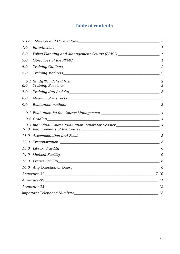### **Table of contents**

| 1.0        | $Introduction 1 1$                                                                 |  |
|------------|------------------------------------------------------------------------------------|--|
| 2.0        |                                                                                    |  |
| 3.0        |                                                                                    |  |
| 4.0        |                                                                                    |  |
| 5.0        |                                                                                    |  |
| 5.1<br>6.0 | Study Tour/Field Visit 22                                                          |  |
| 7.0        |                                                                                    |  |
| 8.0        |                                                                                    |  |
| 9.0        |                                                                                    |  |
|            |                                                                                    |  |
|            | 9.2 Grading<br>$\sim$ 4                                                            |  |
| 10.0       | 9.3 Individual Course Evaluation Report for Dossier_____________________________ 4 |  |
| 11.0       |                                                                                    |  |
| 12.0       | Transportation 5                                                                   |  |
| 13.0       |                                                                                    |  |
| 14.0       | Medical Facility 6                                                                 |  |
| 15.0       | Prayer Facility 6                                                                  |  |
|            |                                                                                    |  |
|            |                                                                                    |  |
|            |                                                                                    |  |
|            |                                                                                    |  |
|            |                                                                                    |  |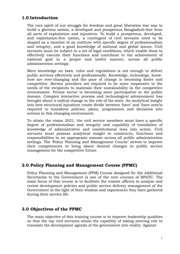#### <span id="page-4-0"></span>**1.0 Introduction**

The core spirit of our struggle for freedom and great liberation war was to build a glorious nation, a developed and prosperous Bangladesh-free from all sorts of exploitation and injustices. To build a prosperous, developed, and exploitation-free nation, a contingent of civil servants need to be shaped as a member of an institute with specific degree of professionalism and integrity, and a good knowledge of national and global issues. Civil servants must be subject to a set of legal conditions, which enable them to effectively execute their functions and contribute to the achievement of national goal in a proper and lawful manner, across all public administration settings.

Mere knowledge on laws, rules and regulations is not enough to deliver public services effectively and professionally. Knowledge, technology, knowhow are ever-changing and the pace of change is becoming faster and competitive. Service providers are required to be more responsive to the needs of the recipients to maintain their sustainability in the competitive environment. Private sector is becoming more participative in the public domain. Complex interactive process and technological advancement has brought about a radical change in the role of the state. An analytical insight into how structural injustices create divide between 'have' and 'have nots'is required to transform policies, plans, programmes and decisions into actions in this changing environment.

To attain the vision 2021, the civil service members must have a specific degree of professionalism and integrity and capability of translation of knowledge of administrative and constitutional laws into action. Civil servants must possess analytical insight to constructs, functions and responsibilities in an appropriate manner across all public administration settings. The 'Policy Planning and Management Course' strives to improve their competencies to bring about desired changes in public service management for the competitive future.

#### <span id="page-4-1"></span>**2.0 Policy Planning and Management Course (PPMC)**

Policy Planning and Management (PPM) Course designed for the Additional Secretaries to the Government is one of the core courses of BPATC. The main focus of this course is to facilitate the trainee officers to analyze and review development policies and public service delivery management of the Government in the light of their wisdom and experiences they have gathered during their service life.

#### <span id="page-4-2"></span>**3.0 Objectives of the PPMC**

The main objective of this training course is to improve leadership qualities so that the top civil servants attain the capablity of taking steering role to translate the development agenda of the government into reality. Against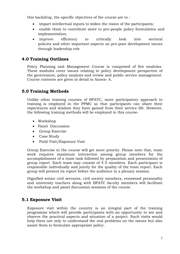this backdrop, the specific objectives of the course are to -

- impart intellectual inputs to widen the vision of the participants;
- enable them to contribute more to pro-people policy formulation and implementation;
- improve efficiency to critically look into sectoral policies and other important aspects on pro-poor development issues through leadership role

#### <span id="page-5-0"></span>**4.0 Training Outlines**

Policy Planning and Management Course is comprised of five modules. These modules cover issues relating to policy development perspective of the government, policy analysis and review and public service management. Course contents are given in detail in Annex- A.

#### <span id="page-5-1"></span>**5.0 Training Methods**

Unlike other training courses of BPATC, more participatory approach to training is employed in the PPMC so that participants can share their experiences and wisdom they have gained from their service life. However, the following training methods will be employed in this course-

- Workshop
- Panel Discussion
- Group Exercise
- Case Study
- Field Visit/Exposure Visit

Group Exercise in the course will get more priority. Please note that, team work requires maximum interaction among group members for the accomplishment of a team task followed by preparation and presentation of group report. Each team may consist of 4-5 members. Each participant is responsible individually and jointly for the quality of the team report. Each group will present its report before the audience in a plenary session.

Dignified senior civil servants, civil society members, renowned personality and university teachers along with BPATC faculty members will facilitate the workshop and panel discussion sessions of the course.

#### <span id="page-5-2"></span>**5.1 Exposure Visit**

Exposure visit within the country is an integral part of the training programme which will provide participants with an opportunity to see and observe the practical aspects and situation of a project. Such visits would help them not only to understand the real problems on the issues but also assist them to formulate appropriate policy.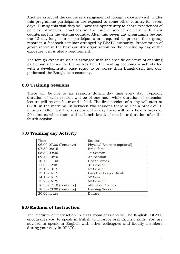Another aspect of the course is arrangement of foreign exposure visit. Under this programme participants are exposed to some other country for seven days. During this visit they will have the opportunity to share experiences of policies, strategies, practices in the public service delivery with their counterpart in the visiting country. After this seven day programme beyond the 12 day-long course, participants are required to present their group report in a feedback seminar arranged by BPATC authority. Presentation of group report in the host country organisation on the concluding day of the exposure visit is also a requirement.

The foreign exposure visit is arranged with the specific objective of enabling participants to see for themselves how the visiting economy which started with a developmental base equal to or worse than Bangladesh has outperformed the Bangladesh economy.

#### <span id="page-6-0"></span>**6.0 Training Sessions**

There will be five to six sessions during day time every day. Typically duration of each session will be of one-hour while duration of extension lecture will be one hour and a half. The first session of a day will start at 08:30 in the morning. In between two sessions there will be a break of 10 minutes. After first two sessions of the day there will be a health break of 20 minutes while there will be lunch break of one hour duration after the fourth session.

| Time                    | Session                      |
|-------------------------|------------------------------|
| 06.00-07.00 (Tentative) | Physical Exercise (optional) |
| 07:30-08:15             | <b>Breakfast</b>             |
| 08:30-09:30             | 1 <sup>st</sup> Session      |
| 09:40-10:40             | 2 <sup>nd</sup> Session      |
| 10.40-11.05             | <b>Health Break</b>          |
| 11:05-12:05             | 3rd Session                  |
| 12:15-13:15             | 4 <sup>th</sup> Session      |
| 13:15-14:15             | Lunch & Prayer Break         |
| 14:15-15:15             | 5 <sup>th</sup> Session      |
| 15:25-16:25             | 6 <sup>th</sup> Session      |
| 16:35-17:10 (Tentative) | Afternoon Games              |
| 18:30-20:00 (Tentative) | <b>Evening Session</b>       |
| $20:00$ hours           | Dinner                       |

#### <span id="page-6-1"></span>**7.0 Training day Activity**

#### <span id="page-6-2"></span>**8.0 Medium of Instruction**

The medium of instruction in class room sessions will be English. BPATC encourages you to speak in Enlish to improve oral English skills. You are advised to speak in English with other colleagues and faculty members during your stay in BPATC.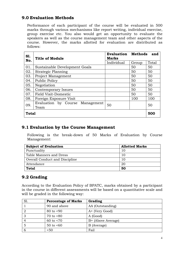#### <span id="page-7-0"></span>**9.0 Evaluation Methods**

Performance of each participant of the course will be evaluated in 500 marks through various mechanisms like report writing, individual exercise, group exercise etc. You also would get an opportunity to evaluate the speakers as well as the course management team and other aspects of the course. However, the marks allotted for evaluation are distributed as follows:

| <b>S1.</b><br>No. | <b>Title of Module</b>                  | <b>Evaluation</b><br>Methods<br><b>Marks</b> |       | and   |
|-------------------|-----------------------------------------|----------------------------------------------|-------|-------|
|                   |                                         | Individual                                   | Group | Total |
| 01.               | Sustainable Development Goals           |                                              | 50    | 50    |
| 02.               | Strategic Planning                      |                                              | 50    | 50    |
| 03.               | Project Management                      |                                              | 50    | 50    |
| 04.               | <b>Public Policy</b>                    |                                              | 50    | 50    |
| 05.               | Negotiation                             |                                              | 50    | 50    |
| 06.               | Contemporary Issues                     |                                              | 50    | 50    |
| 07.               | <b>Field Visit-Domestic</b>             |                                              | 50    | 50    |
| 08.               | Foreign Exposure Visit                  |                                              | 100   | 100   |
| 09.               | Evaluation by Course Management<br>Team | 50                                           |       | 50    |
| <b>Total</b>      |                                         |                                              | 500   |       |

#### <span id="page-7-1"></span>**9.1 Evaluation by the Course Management**

Following is the break-down of 50 Marks of Evaluation by Course Management:

| <b>Subject of Evaluation</b>   | <b>Allotted Marks</b> |
|--------------------------------|-----------------------|
| Punctuality                    | 10                    |
| Table Manners and Dress        | 10                    |
| Overall Conduct and Discipline | 10                    |
| Attendance                     | 20                    |
| <b>Total</b>                   | 50                    |

#### <span id="page-7-2"></span>**9.2 Grading**

According to the Evaluation Policy of BPATC, marks obtained by a participant in the course in different assessments will be based on a quantitative scale and will be graded in the following way:

| S1. | <b>Percentage of Marks</b> | Grading            |
|-----|----------------------------|--------------------|
|     | 90 and above               | AA (Outstanding)   |
|     | $80$ to $< 90$             | A+ (Very Good)     |
| З   | 70 to $<80$                | A (Good)           |
| 4   | 60 to $< 70$               | B+ (Above Average) |
|     | $50$ to $<60$              | B (Average)        |
|     | 50<                        | Fail               |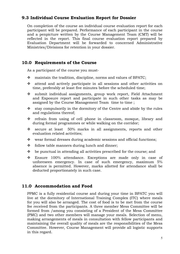#### <span id="page-8-0"></span>**9.3 Individual Course Evaluation Report for Dossier**

On completion of the course an individual course evaluation report for each participant will be prepared. Performance of each participant in the course and a penpicture written by the Course Management Team (CMT) will be reflected in the report. This final course evaluation report prepared by Evaluation Department will be forwarded to concerned Administrative Ministries/Divisions for retention in your dossier.

#### <span id="page-8-1"></span>**10.0 Requirements of the Course**

As a participant of the course you must-

- $\div$  maintain the tradition, discipline, norms and values of BPATC;
- attend and actively participate in all sessions and other activities on time, preferably at least five minutes before the scheduled time;
- \* submit individual assignments, group work report, Field Attachment and Exposure report and participate in such other tasks as may be assigned by the Course Management Team time to time ;
- $\cdot$  stay compulsorily in the dormitory of the Centre and abide by the rules and regulations thereof;
- \* refrain from using of cell phone in classroom, mosque, library and during formal programmes or while walking on the corridor;
- $\cdot$  secure at least 50% marks in all assignments, reports and other evaluation related activities;
- $\mathbf{\hat{P}}$  wear formal dresses during academic sessions and official functions;
- $\div$  follow table manners during lunch and dinner;
- $\bullet$  be punctual in attending all activities prescribed for the course; and
- Ensure 100% attendance. Exceptions are made only in case of unforeseen emergency. In case of such emergency, maximum 5% absence is permitted. However, marks allotted for attendance shall be deducted proportionately in such case.

#### <span id="page-8-2"></span>**11.0 Accommodation and Food**

PPMC is a fully residential course and during your time in BPATC you will live at the dormitory of International Training Complex (ITC) where meals for you will also be arranged. The cost of food is to be met from the course fee received from the participants. A three member Mess Committee will be formed from /among you consisting of a President of the Mess Committee (PMC) and two other members will manage your meals. Selection of menu, making arrangements of meals in consultation with fellow participants and maintaining the overall quality of meals are the responsibilities of the Mess Committee. However, Course Management will provide all logistic supports in this regard.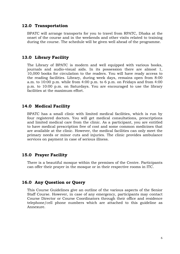#### <span id="page-9-0"></span>**12.0 Transportation**

BPATC will arrange transports for you to travel from RPATC, Dhaka at the onset of the course and in the weekends and other visits related to training during the course. The schedule will be given well ahead of the programme.

#### <span id="page-9-1"></span>**13.0 Library Facility**

The Library of BPATC is modern and well equipped with various books, journals and audio-visual aids. In its possession there are almost 1, 10,000 books for circulation to the readers. You will have ready access to the reading facilities. Library, during week days, remains open from 8:00 a.m. to 10:00 p.m. while from 4:00 p.m. to 6 p.m. on Fridays and from 4:00 p.m. to 10:00 p.m. on Saturdays. You are encouraged to use the library facilities at the maximum effort.

#### <span id="page-9-2"></span>**14.0 Medical Facility**

BPATC has a small clinic with limited medical facilities, which is run by four registered doctors. You will get medical consultations, prescriptions and limited medical care from the clinic. As a participant, you are entitled to have medical prescription free of cost and some common medicines that are available at the clinic. However, the medical facilities can only meet the primary needs or minor cuts and injuries. The clinic provides ambulance services on payment in case of serious illness.

#### <span id="page-9-3"></span>**15.0 Prayer Facility**

There is a beautiful mosque within the premises of the Centre. Participants can offer their prayer in the mosque or in their respective rooms in ITC.

#### <span id="page-9-4"></span>**16.0 Any Question or Query**

This Course Guidelines give an outline of the various aspects of the Senior Staff Course. However, in case of any emergency, participants may contact Course Director or Course Coordinators through their office and residence telephone/cell phone numbers which are attached to this guideline as Annexure.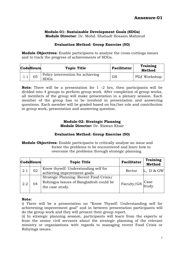#### <span id="page-10-0"></span>**Module-01: Sustainable Development Goals (SDGs) Module Director**: Dr. Mohd. Shahadt Hossain Mahmud

#### **Evaluation Method: Group Exercise (50)**

**Module Objectives:** Enable participants to analyse the cross-cuttings issues and to track the progress of achievements of SDGs.

| <b>CodeHours</b> | <b>Topic Title</b>                               | <b>Facilitator</b> | Training<br><b>Method</b> |
|------------------|--------------------------------------------------|--------------------|---------------------------|
| 05               | Policy intervention for achieving<br><b>SDGs</b> | GS                 | PD/Workshop               |

**Note:** There will be a presentation for 1 -2 hrs, then participants will be divided into 4 groups to perform group work. After completion of group works, all members of the group will make presentation in a plenary session. Each member of the group has to be involved in presentation and answering questions. Each member will be graded based on his/her role and contribution in group work, presentation and answering question.

#### **Module-02: Strategic Planning Module Director:** Dr. Rizwan Khair

#### **Evaluation Method: Group Exercise (50)**

**Module Objectives:** Enable participants to critically analyze an issue and forsee the problems to be encountered and learn how to overcome the problems through strategic planning.

|     | <b>CodeHours</b> | <b>Topic Title</b>                                                                                   | <b>Facilitator</b> | Training<br><b>Method</b> |
|-----|------------------|------------------------------------------------------------------------------------------------------|--------------------|---------------------------|
| 2.1 | 02               | Know thyself: Understanding self for<br>achieving improvement goals                                  | Rector             | D & GW                    |
| 2.2 | 04               | Strategic Planning: Recent Food Crisis/<br>Rohingya Issues of Bangladesh could be<br>the case study. | Faculty/GS Case    |                           |

#### **Note:**

i) There will be a presentation on "Know Thyself: Understanding self for achievening improvement goal" and in between presentation participants will do the group work and they will present their group report.

ii) In strategic planning session, participants will learn from the experts or from the senior civil servants about the strategic planning of the relevant ministry or organizations with regards to managing recent Food Crisis or Rohyinga issues.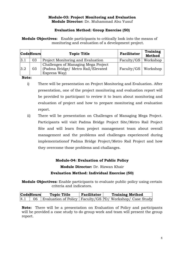#### **Module-03: Project Monitoring and Evaluation Module Director:** Dr. Muhammad Abu Yusuf

#### **Evaluation Method: Group Exercise (50)**

**Module Objectives:** Enable participants to critically look into the means of monitoring and evaluation of a development project.

|     | <b>CodeHours</b> | <b>Topic Title</b>                                                                        | Facilitator           | Training<br><b>Method</b> |
|-----|------------------|-------------------------------------------------------------------------------------------|-----------------------|---------------------------|
| 3.1 | 03               | Project Monitoring and Evaluation                                                         | Faculty/GS            | Workshop                  |
| 3.2 | 03               | Challenges of Managing Mega Project<br>(Padma Bridge/ Metro Rail/Elevated<br>Express Way) | Faculty/GS   Workshop |                           |

**Note:** 

- i) There will be presentation on Project Monitoring and Evaluation. After presentation, one of the project monitoring and evaluation report will be provided to participant to review it to learn about monitoring and evaluation of project and how to prepare monitoring and evaluation report.
- ii) There will be presentation on Challenges of Managing Mega Project. Participants will visit Padma Bridge Project Site/Metro Rail Project Site and will learn from project management team about overall management and the problems and challenges experienced during implementationof Padma Bridge Project/Metro Rail Project and how they overcome those problems and challanges.

#### **Module-04: Evaluation of Public Policy**

**Module Director:** Dr. Rizwan Khair

#### **Evaluation Method: Individual Exercise (50)**

**Module Objectives:** Enable participants to evaluate public policy using certain criteria and indicators.

|     | <b>CodeHours</b> | <b>Topic Title</b> | Facilitator | <b>Training Method</b>                                          |
|-----|------------------|--------------------|-------------|-----------------------------------------------------------------|
| 4.1 |                  |                    |             | 06   Evaluation of Policy   Faculty/GS PD/ Workshop/ Case Study |

**Note:** There will be a presentation on Evaluation of Policy and participants will be provided a case study to do group work and team will present the group report.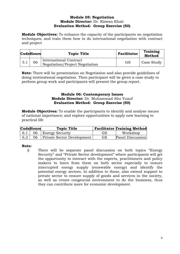#### **Module 05: Negotiation Module Director:** Dr. Rizwan Khair **Evaluation Method: Group Exercise (50)**

**Module Objectives:** To enhance the capacity of the participants on negotiation techniques; and train them how to do international negotiation with contract and project

|     | <b>CodeHours</b> | <b>Topic Title</b>                                        | Facilitator | <b>Training</b><br><b>Method</b> |
|-----|------------------|-----------------------------------------------------------|-------------|----------------------------------|
| 5.1 | 06               | International Contract<br>Negotiation/Project Negotiation | GS          | Case Study                       |

**Note:** There will be presentation on Negotiation and also provide guidelines of doing intetnational negotiation. Then participant will be given a case study to perform group work and participants will present the group report.

#### **Module 06: Contemporary Issues Module Director:** Dr. Muhammad Abu Yusuf **Evaluation Method: Group Exercise (50)**

**Module Objectives:** To enable the participants to identify and analyse issues of national importance; and explore opportunities to apply new learning to practical life

| <b>CodeHours</b> | <b>Topic Title</b>                         |    | <b>Facilitator Training Method</b> |
|------------------|--------------------------------------------|----|------------------------------------|
|                  | $\vert 6.1 \vert 06 \vert$ Energy Security | GS | Workshop                           |
|                  | 6.2   06   Private Sector Development      | GS | Panel Discussion                   |

#### **Note:**

i) There will be separate panel discussion on both topics "Energy Security" and "Private Sector development" where participants will get the opportunity to interact with the experts, practitioners and policy makers to learn from them on both sector especially to ensure interrupted energy supply (renewable energy) and identify the potential energy sectors. In addition to these, also extend support to private sector to ensure supply of goods and services in the society, as well as create congencial environment to do the business, thus they can contribute more for economic development.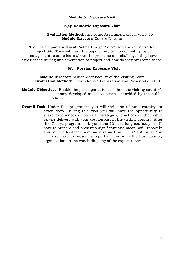#### **Module 6: Exposure Visit**

#### **6(a): Domestic Exposure Visit**

#### **Evaluation Method:** Individual Assignment (Local Visit)-50 **Module Director:** Course Director

PPMC participants will visit Padma Bridge Project Site and/or Metro Rail Project Site. They will have the opportunity to interact with project management team to learn about the problems and challenges they have experienced during implementation of project and how do they overcome those.

#### **6(b): Foreign Exposure Visit**

**Module Director:** Senior Most Faculty of the Visiting Team **Evaluation Method:** Group Report Preparation and Presentation-100

- **Module Objectives**: Enable the participants to learn how the visiting country's economy developed and also services provided by the public offices.
- **Overall Task:** Under this programme you will visit one relevant country for seven days. During this visit you will have the opportunity to share experiences of policies, strategies, practices in the public service delivery with your counterpart in the visiting country. After this 7 days programme, beyond the 12 days long course, you will have to prepare and present a significant and meaningful report in groups in a feedback seminar arranged by BPATC authority. You will also have to present a report in groups in the host country organization on the concluding day of the exposure visit.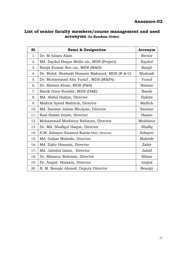#### **Annexure-02**

#### **List of senior faculty members/course management and used acronyms** (**In Random Order**)

| S1. | <b>Name &amp; Designation</b>                 | Acronym  |
|-----|-----------------------------------------------|----------|
| 1.  | Dr. M Aslam Alam                              | Rector   |
| 2.  | Md. Zaydul Hoque Molla ndc, MDS (Project)     | Zaydul   |
| 3.  | Ranjit Kumar Sen ndc, MDS (M&D)               | Ranjit   |
| 4.  | Dr. Mohd. Shahadt Hossain Mahmud, MDS (R & C) | Shahadt  |
| 5.  | Dr. Muhammad Abu Yusuf, MDS (M&PA)            | Yusuf    |
| 6.  | Dr. Rizwan Khair, MDS (P&S)                   | Rizwan   |
| 7.  | Banik Gour Sundar, MDS (D&E)                  | Banik    |
| 8.  | Md. Abdul Hakim, Director                     | Hakim    |
| 9.  | Mallick Syeed Mahbub, Director                | Mallick  |
| 10. | Md. Sanwar Jahan Bhuiyan, Director            | Sanwar   |
| 11. | Kazi Hasan Imam, Director                     | Hasan    |
| 12. | Mohammad Moshiour Rahman, Director            | Moshiour |
| 13. | Dr. Md. Shafiqul Haque, Director              | Shafiq   |
| 14. | S.M. Zobayer Enamul Karim PhD, Director       | Zobayer  |
| 15. | Md. Golam Mahede, Director                    | Mahede   |
| 16. | Md. Zakir Hossain, Director                   | Zakir    |
| 17. | Md. Jahidul Islam, Director                   | Jahid    |
| 18. | Dr. Mizanur Rahman, Director                  | Mizan    |
| 19. | Dr. Amjed Hossain, Director                   | Amjed    |
| 20. | B. M. Benojir Ahmed, Deputy Director          | Benojir  |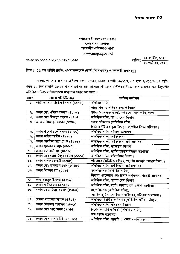#### গণপ্রজাতন্ত্রী বাংলাদেশ সরকার জনপ্ৰশাসন মন্ত্ৰণালয় অভ্যন্তরীণ প্রশিক্ষণ-১ শাখা www.mopa.gov.bd

गु -00.00,0000.053.200.025.59-500

তারিখঃ <mark>- ১১ কার্তিক, ১</mark>৪২৪<br>- ২৬ অক্টোবর, ২০১৭

#### বিষয় ঃ ১৫ তম পলিসি প্ল্যানিং এণ্ড ম্যানেজমেন্ট কোর্স (পিপিএমসি)-এ কর্মকর্তা মনোনয়ন।

বাংলাদেশ লোক প্রশাসন প্রশিক্ষণ কেন্দ্র, সাভার, ঢাকায় আগামী ১২/১১/২০১৭ হতে ২৩/১১/২০১৭ তারিখ পর্যন্ত ১২ দিন মেয়াদী ১৫তম পলিসি প্ল্যানিং এণ্ড ম্যানেজমেন্ট কোর্স (পিপিএমসি)-এ অংশ গ্রহণের জন্য নিমুবর্ণিত অতিরিক্ত সচিবদের নির্দেশক্রমে মনোনয়ন প্রদান করা হলো ঃ

| ক্ৰয়নং | নাম ও পরিচিতি নম্বর               | বৰ্তমান কৰ্মস্হল                                                  |  |
|---------|-----------------------------------|-------------------------------------------------------------------|--|
| ۵.      | কাজী আ.খ.ম মহিউল ইসলাম (808৮)     | অতিরিক্ত সচিব,                                                    |  |
|         |                                   | স্বাস্থ্য শিক্ষা ও পরিবার কল্যাাণ বিভাগ                           |  |
| ২.      | জনাব মোঃ খলিলুর রহমান (৪৫০৯)      | সদস্য (অতিরিক্ত সচিব), স্পারসো, আগারগাঁও, ঢাকা।                   |  |
| ৩.      | জনাব মোঃ মিজানুর রহমান (৪৭১৪)     | অতিরিক্ত সচিব, স্বাম্হ্য সেবা বিভাগ।                              |  |
| 8.      | ড. এম. মিজানুর রহমান (৪৭৪৮)       | প্রকল্প পরিচালক (অতিরিক্ত সচিব),                                  |  |
|         |                                   | রিচিং আউট অব স্কুল চিলড্রেন, প্রাথমিক শিক্ষা অধিদপ্তর।            |  |
| ¢.      | জনাব প্রাণেশ রঞ্জন সূত্রধর (৪৭৬৬) | অতিরিক্ত সচিব, বাণিজ্য মন্ত্রণালয়।                               |  |
| ৬.      | জনাব রুবীনা আমীন (৪৮৩২)           | অতিরিক্ত সচিব, অর্থ বিভাগ।                                        |  |
| ٩.      | জনাব আরফিন আরা বেগম (৪৮৩৬)        | অতিরিক্ত সচিব, অর্থ বিভাগ, অর্থ মন্ত্রণালয়।                      |  |
| ৮.      | জনাব সুলতান মাহমুদ (৪৮৯৭)         | অতিরিক্ত সচিব, পরিকল্পনা বিভাগ।                                   |  |
| ৯.      | জনাব রমা রানী রায় (৪৯৫৯)         | অতিরিক্ত সচিব, পার্বতা চট্টগ্রাম বিষয়ক মন্ত্রণালয়               |  |
| 50.     | জনাব মোঃ মোস্তাফিজুর রহমান (৫২৩০) | অভিরিক্ত সচিব, মন্ত্রিপরিষদ বিভাগ।                                |  |
| 55.     | জনাব দীপক চক্ৰবৰ্ত্তী (৫২৪৫)      | পরিচালক (অতিরিক্ত সচিব), স্হানীয় সরকার, চট্টগ্রাম বিভাগ।         |  |
| ১২.     | জনাব মোঃ হাবিবুর রহমান (৫২৬৮)     | অতিরিক্ত সচিব, অর্থ বিভাগ, অর্থ মন্ত্রণালয়।                      |  |
| ১৩.     | জনাব শিবনাথ রায় (৫২৯৫)           | মহাপরিচালক (অতিরিক্ত সচিব),                                       |  |
|         |                                   | লিগ্যাল এ্যাফেয়ার্স এবং রিসার্চ অনুবিভাগ, পররাষ্ট্র মন্ত্রণালয়। |  |
| 38.     | শেখ রফিকুল ইসলাম (৫২৯৬)           | অতিরিক্ত সচিব, স্বাস্হ্য সেবা বিভাগ।                              |  |
| SQ.     | জনাব শামীমা হক (৫৩৫০)             | অতিরিক্ত সচিব, দূর্যোগ ব্যবস্হাপনা ও ত্রাণ মন্ত্রণালয়।           |  |
| 59.     | জনাব মোস্তাফিজুর রহমান (৫৩৮০)     | মহাপরিচালক (অতিরিক্ত সচিব),                                       |  |
|         |                                   | সামরিক ভূমি ও সেনানিবাস অধিদপ্তর, প্রতিরক্ষা মন্ত্রণালয়।         |  |
| 59.     | সৈয়দা সারোয়ার জাহান (৫৪০৪)      | অতিরিক্ত বিভাগীয় কমিশনার (অতিরিক্ত সচিব), চট্টগ্রাম।             |  |
| ১৮.     | জনাব ফৌজিয়া জাফরিন (৫৪০৯)        | অতিরিক্ত সচিব, পরিকল্পনা বিভাগ।                                   |  |
| ১৯.     | জনাব মোঃ শাহ আলম (৭৩৫৫)           | বিশেষ ভারপ্রাপ্ত কর্মকর্তা (অতিরিক্ত সচিব),                       |  |
|         |                                   | জনপ্ৰশাসন মন্ত্ৰণালয়।                                            |  |
| ২০.     | জনাব গোলাম শফিউদ্দিন (৭৪৩৯)       | অতিরিক্ত সচিব, জ্ঞালানী ও খনিজ সম্পদ বিভাগ।                       |  |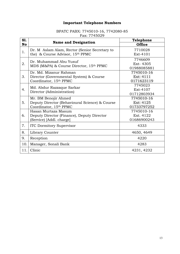### **Important Telephone Numbers**

#### BPATC PABX: 7745010-16, 7742080-85 Fax: 7745029

<span id="page-16-0"></span>

| S1.       |                                                                                                  | Telephone                              |
|-----------|--------------------------------------------------------------------------------------------------|----------------------------------------|
| <b>No</b> | <b>Name and Designation</b>                                                                      | <b>Office</b>                          |
| 1.        | Dr. M Aslam Alam, Rector (Senior Secretary to<br>the) & Course Advisor, 15th PPMC                | 7710028<br>Ext-4101                    |
| 2.        | Dr. Muhammad Abu Yusuf<br>MDS (M&PA) & Course Director, 15th PPMC                                | 7746609<br>Ext-4305<br>01988085881     |
| 3.        | Dr. Md. Mizanur Rahman<br>Director (Governmental System) & Course<br>Coordinator, 15th PPMC      | 7745010-16<br>Ext: 4111<br>0171623119  |
| 4.        | Md. Abdur Razzaque Sarkar<br>Director (Administration)                                           | 7745023<br>Ext-4107<br>01712803934     |
| 5.        | Mr. BM Benojir Ahmed<br>Deputy Director (Behavioural Science) & Course<br>Coordinator, 15th PPMC | 7745010-16<br>Ext: 4125<br>01733797252 |
| 6.        | Hasan Murtaza Masum<br>Deputy Director (Finance), Deputy Director<br>(Service) [Addl. charge]    | 7745010-16<br>Ext. 4122<br>01686900243 |
| 7.        | <b>ITC Dormitory Supervisor</b>                                                                  | 4333                                   |
| 8.        | Library Counter                                                                                  | 4650, 4649                             |
| 9.        | Reception                                                                                        | 4220                                   |
| 10.       | Manager, Sonali Bank                                                                             | 4283                                   |
| 11.       | Clinic                                                                                           | 4231, 4232                             |